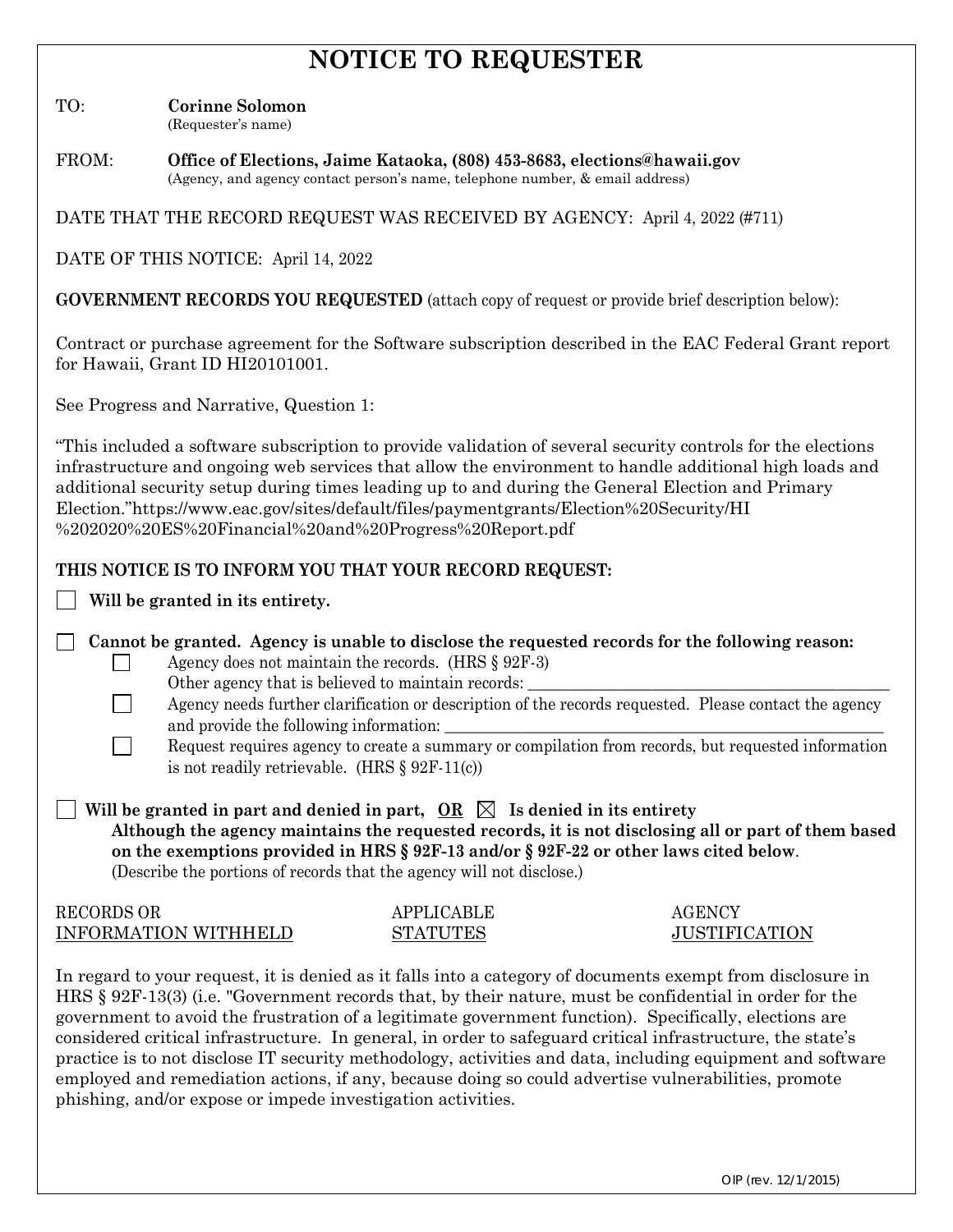# **NOTICE TO REQUESTER**

TO: **Corinne Solomon**

(Requester's name)

FROM: **Office of Elections, Jaime Kataoka, (808) 453-8683, elections@hawaii.gov** (Agency, and agency contact person's name, telephone number, & email address)

DATE THAT THE RECORD REQUEST WAS RECEIVED BY AGENCY: April 4, 2022 (#711)

DATE OF THIS NOTICE: April 14, 2022

**GOVERNMENT RECORDS YOU REQUESTED** (attach copy of request or provide brief description below):

Contract or purchase agreement for the Software subscription described in the EAC Federal Grant report for Hawaii, Grant ID HI20101001.

See Progress and Narrative, Question 1:

"This included a software subscription to provide validation of several security controls for the elections infrastructure and ongoing web services that allow the environment to handle additional high loads and additional security setup during times leading up to and during the General Election and Primary Election."https://www.eac.gov/sites/default/files/paymentgrants/Election%20Security/HI %202020%20ES%20Financial%20and%20Progress%20Report.pdf

## **THIS NOTICE IS TO INFORM YOU THAT YOUR RECORD REQUEST:**

**Will be granted in its entirety.**

 $\Box$ 

 $\Box$ 

**Cannot be granted. Agency is unable to disclose the requested records for the following reason:**

- Agency does not maintain the records. (HRS § 92F-3) Other agency that is believed to maintain records:
- Agency needs further clarification or description of the records requested. Please contact the agency and provide the following information:
- Request requires agency to create a summary or compilation from records, but requested information is not readily retrievable. (HRS § 92F-11(c))

 $\blacksquare$  | Will be granted in part and denied in part,  $\hspace{0.1 cm}$  OR  $\hspace{0.1 cm}$   $\boxtimes$  1s denied in its entirety  **Although the agency maintains the requested records, it is not disclosing all or part of them based on the exemptions provided in HRS § 92F-13 and/or § 92F-22 or other laws cited below**. (Describe the portions of records that the agency will not disclose.)

| <b>RECORDS OR</b>           | <b>APPLICABLE</b> | <b>AGENCY</b>        |
|-----------------------------|-------------------|----------------------|
| <b>INFORMATION WITHHELD</b> | <b>STATUTES</b>   | <b>JUSTIFICATION</b> |

In regard to your request, it is denied as it falls into a category of documents exempt from disclosure in HRS § 92F-13(3) (i.e. "Government records that, by their nature, must be confidential in order for the government to avoid the frustration of a legitimate government function). Specifically, elections are considered critical infrastructure. In general, in order to safeguard critical infrastructure, the state's practice is to not disclose IT security methodology, activities and data, including equipment and software employed and remediation actions, if any, because doing so could advertise vulnerabilities, promote phishing, and/or expose or impede investigation activities.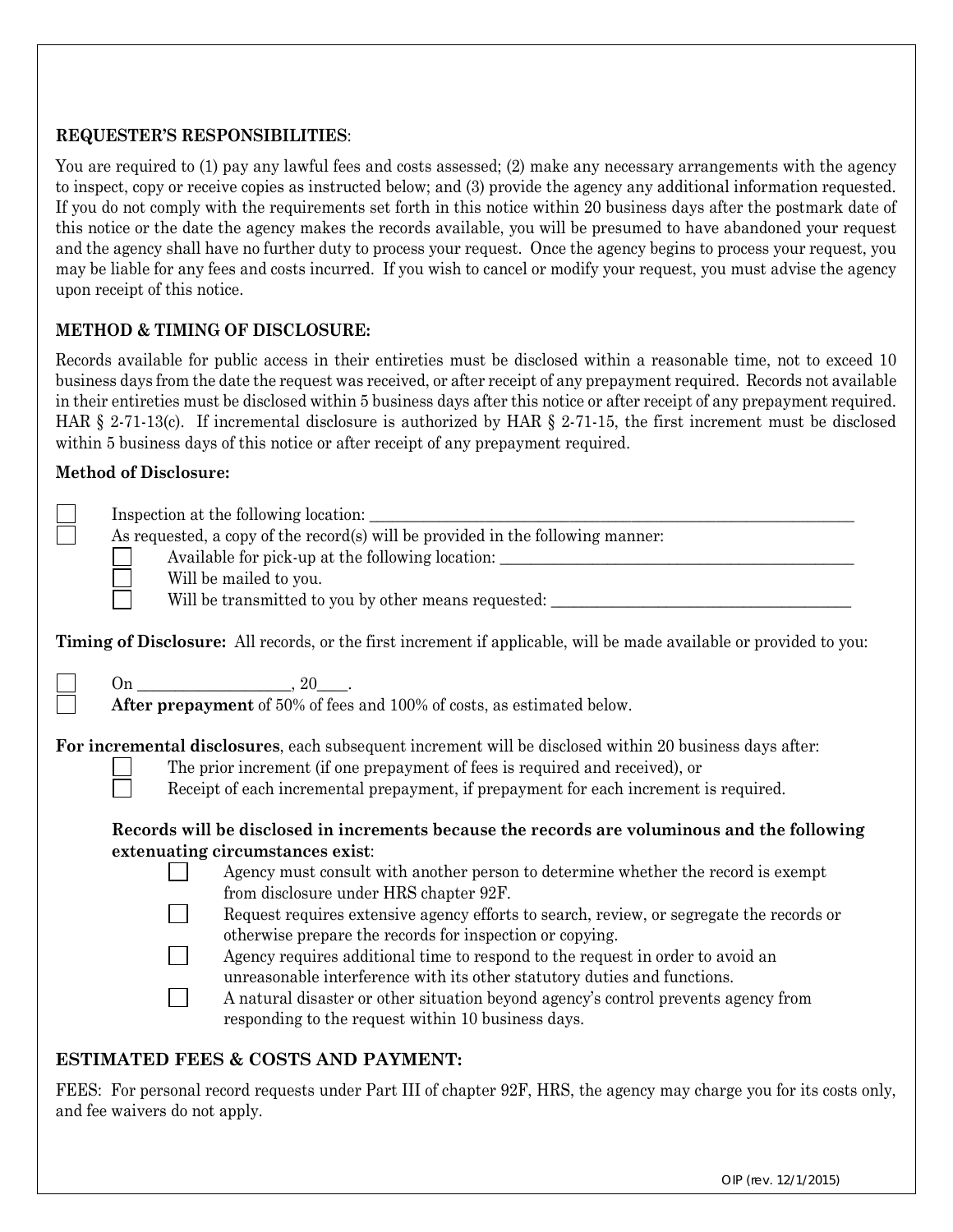## **REQUESTER'S RESPONSIBILITIES**:

You are required to (1) pay any lawful fees and costs assessed; (2) make any necessary arrangements with the agency to inspect, copy or receive copies as instructed below; and (3) provide the agency any additional information requested. If you do not comply with the requirements set forth in this notice within 20 business days after the postmark date of this notice or the date the agency makes the records available, you will be presumed to have abandoned your request and the agency shall have no further duty to process your request. Once the agency begins to process your request, you may be liable for any fees and costs incurred. If you wish to cancel or modify your request, you must advise the agency upon receipt of this notice.

## **METHOD & TIMING OF DISCLOSURE:**

Records available for public access in their entireties must be disclosed within a reasonable time, not to exceed 10 business days from the date the request was received, or after receipt of any prepayment required. Records not available in their entireties must be disclosed within 5 business days after this notice or after receipt of any prepayment required. HAR § 2-71-13(c). If incremental disclosure is authorized by HAR § 2-71-15, the first increment must be disclosed within 5 business days of this notice or after receipt of any prepayment required.

#### **Method of Disclosure:**

| As requested, a copy of the record(s) will be provided in the following manner:<br>Available for pick-up at the following location: ________________________________<br>Will be mailed to you.<br>Will be transmitted to you by other means requested: ____________________________                                                                                                                                                                                                                                                                                                                                                                                                                                                                                                                                                                                                                                                                                                                                   |
|-----------------------------------------------------------------------------------------------------------------------------------------------------------------------------------------------------------------------------------------------------------------------------------------------------------------------------------------------------------------------------------------------------------------------------------------------------------------------------------------------------------------------------------------------------------------------------------------------------------------------------------------------------------------------------------------------------------------------------------------------------------------------------------------------------------------------------------------------------------------------------------------------------------------------------------------------------------------------------------------------------------------------|
| <b>Timing of Disclosure:</b> All records, or the first increment if applicable, will be made available or provided to you:                                                                                                                                                                                                                                                                                                                                                                                                                                                                                                                                                                                                                                                                                                                                                                                                                                                                                            |
| $On \_\_\_\_$ , 20 $\_\_\_\$ .<br>After prepayment of 50% of fees and 100% of costs, as estimated below.                                                                                                                                                                                                                                                                                                                                                                                                                                                                                                                                                                                                                                                                                                                                                                                                                                                                                                              |
| For incremental disclosures, each subsequent increment will be disclosed within 20 business days after:<br>The prior increment (if one prepayment of fees is required and received), or<br>Receipt of each incremental prepayment, if prepayment for each increment is required.<br>Records will be disclosed in increments because the records are voluminous and the following<br>extenuating circumstances exist:<br>Agency must consult with another person to determine whether the record is exempt<br>from disclosure under HRS chapter 92F.<br>Request requires extensive agency efforts to search, review, or segregate the records or<br>otherwise prepare the records for inspection or copying.<br>Agency requires additional time to respond to the request in order to avoid an<br>unreasonable interference with its other statutory duties and functions.<br>A natural disaster or other situation beyond agency's control prevents agency from<br>responding to the request within 10 business days. |

# **ESTIMATED FEES & COSTS AND PAYMENT:**

FEES: For personal record requests under Part III of chapter 92F, HRS, the agency may charge you for its costs only, and fee waivers do not apply.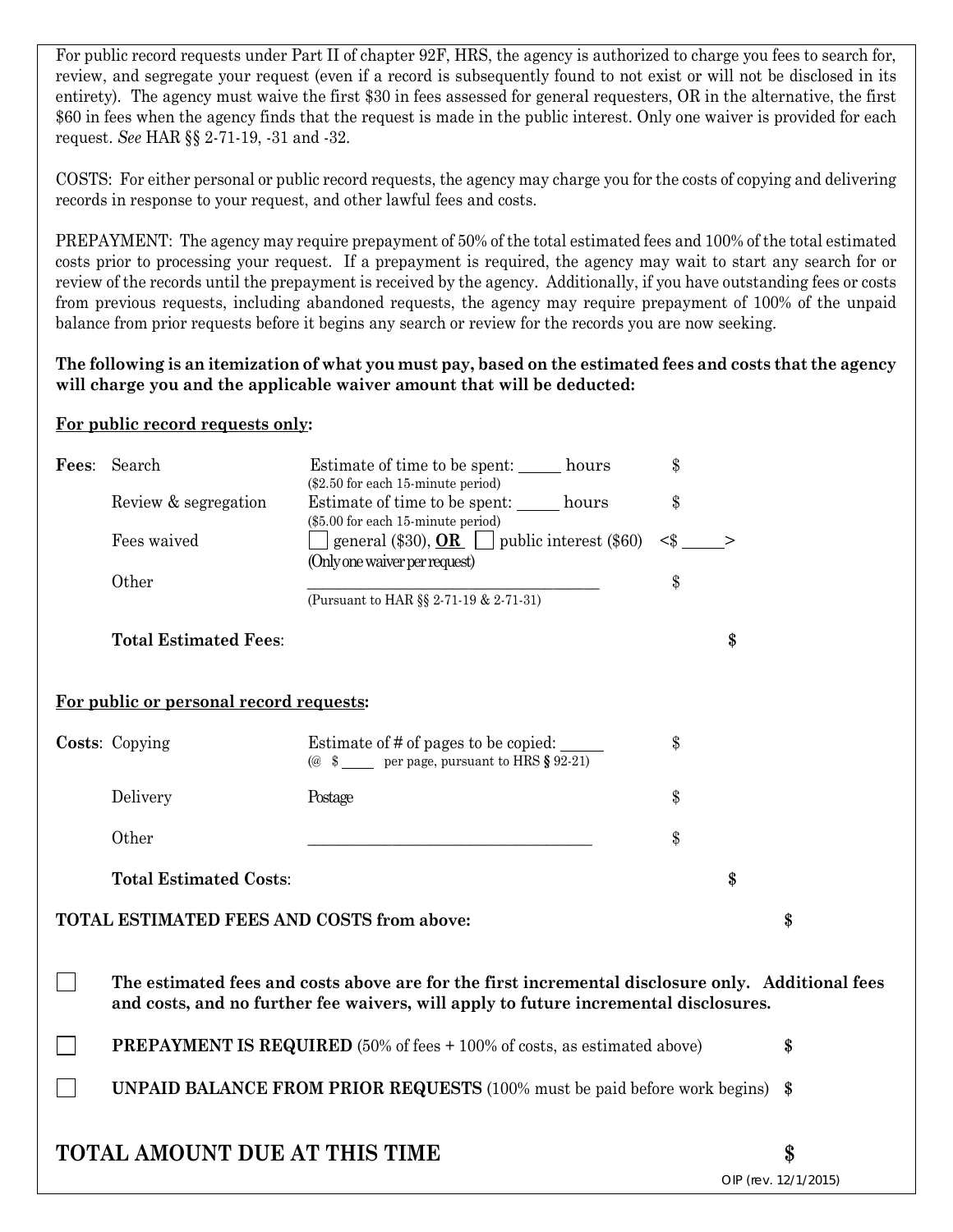For public record requests under Part II of chapter 92F, HRS, the agency is authorized to charge you fees to search for, review, and segregate your request (even if a record is subsequently found to not exist or will not be disclosed in its entirety). The agency must waive the first \$30 in fees assessed for general requesters, OR in the alternative, the first \$60 in fees when the agency finds that the request is made in the public interest. Only one waiver is provided for each request. *See* HAR §§ 2-71-19, -31 and -32.

COSTS: For either personal or public record requests, the agency may charge you for the costs of copying and delivering records in response to your request, and other lawful fees and costs.

PREPAYMENT: The agency may require prepayment of 50% of the total estimated fees and 100% of the total estimated costs prior to processing your request. If a prepayment is required, the agency may wait to start any search for or review of the records until the prepayment is received by the agency. Additionally, if you have outstanding fees or costs from previous requests, including abandoned requests, the agency may require prepayment of 100% of the unpaid balance from prior requests before it begins any search or review for the records you are now seeking.

## **The following is an itemization of what you must pay, based on the estimated fees and costs that the agency will charge you and the applicable waiver amount that will be deducted:**

## **For public record requests only:**

| Fees: Search                                                                           | \$<br>Estimate of time to be spent: hours<br>(\$2.50 for each 15-minute period)                                                                                                           |                      |    |  |
|----------------------------------------------------------------------------------------|-------------------------------------------------------------------------------------------------------------------------------------------------------------------------------------------|----------------------|----|--|
| Review & segregation                                                                   | \$<br>Estimate of time to be spent: hours                                                                                                                                                 |                      |    |  |
| Fees waived                                                                            | (\$5.00 for each 15-minute period)<br>general (\$30), $OR$   public interest (\$60)<br>$<$ \$<br>(Only one waiver per request)                                                            | →                    |    |  |
| Other                                                                                  | \$<br>(Pursuant to HAR §§ 2-71-19 & 2-71-31)                                                                                                                                              |                      |    |  |
| <b>Total Estimated Fees:</b>                                                           |                                                                                                                                                                                           | \$                   |    |  |
| For public or personal record requests:                                                |                                                                                                                                                                                           |                      |    |  |
| Costs: Copying                                                                         | Estimate of # of pages to be copied:<br>\$<br>(@ $$$ ____ per page, pursuant to HRS § 92-21)                                                                                              |                      |    |  |
| Delivery                                                                               | \$<br>Postage                                                                                                                                                                             |                      |    |  |
| Other                                                                                  | \$                                                                                                                                                                                        |                      |    |  |
| <b>Total Estimated Costs:</b>                                                          |                                                                                                                                                                                           | \$                   |    |  |
| <b>TOTAL ESTIMATED FEES AND COSTS from above:</b>                                      |                                                                                                                                                                                           |                      | \$ |  |
|                                                                                        | The estimated fees and costs above are for the first incremental disclosure only. Additional fees<br>and costs, and no further fee waivers, will apply to future incremental disclosures. |                      |    |  |
| <b>PREPAYMENT IS REQUIRED</b> (50% of fees + 100% of costs, as estimated above)<br>\$  |                                                                                                                                                                                           |                      |    |  |
| <b>UNPAID BALANCE FROM PRIOR REQUESTS</b> (100% must be paid before work begins)<br>\$ |                                                                                                                                                                                           |                      |    |  |
| <b>TOTAL AMOUNT DUE AT THIS TIME</b>                                                   |                                                                                                                                                                                           | OIP (rev. 12/1/2015) | \$ |  |